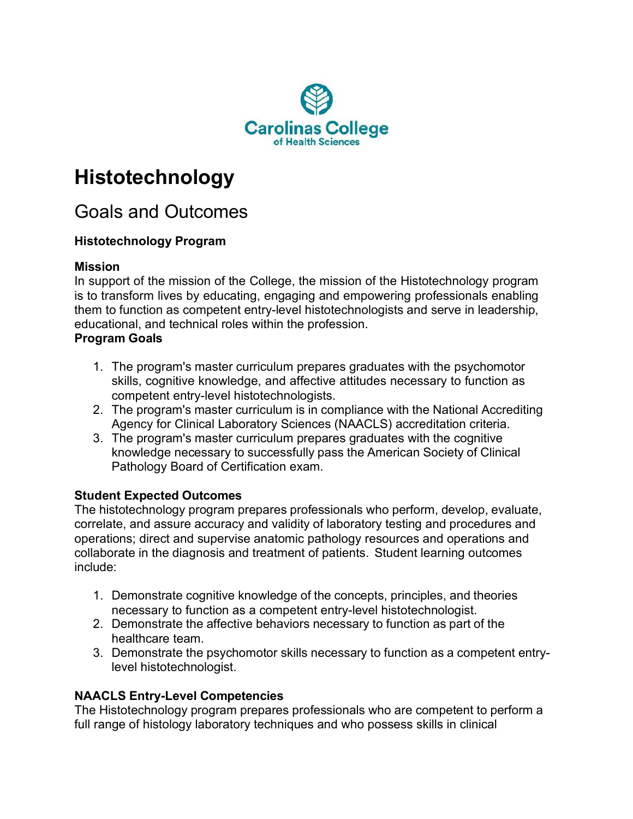

# **Histotechnology**

## Goals and Outcomes

### **Histotechnology Program**

#### **Mission**

In support of the mission of the College, the mission of the Histotechnology program is to transform lives by educating, engaging and empowering professionals enabling them to function as competent entry-level histotechnologists and serve in leadership, educational, and technical roles within the profession.

#### **Program Goals**

- 1. The program's master curriculum prepares graduates with the psychomotor skills, cognitive knowledge, and affective attitudes necessary to function as competent entry-level histotechnologists.
- 2. The program's master curriculum is in compliance with the National Accrediting Agency for Clinical Laboratory Sciences (NAACLS) accreditation criteria.
- 3. The program's master curriculum prepares graduates with the cognitive knowledge necessary to successfully pass the American Society of Clinical Pathology Board of Certification exam.

#### **Student Expected Outcomes**

The histotechnology program prepares professionals who perform, develop, evaluate, correlate, and assure accuracy and validity of laboratory testing and procedures and operations; direct and supervise anatomic pathology resources and operations and collaborate in the diagnosis and treatment of patients. Student learning outcomes include:

- 1. Demonstrate cognitive knowledge of the concepts, principles, and theories necessary to function as a competent entry-level histotechnologist.
- 2. Demonstrate the affective behaviors necessary to function as part of the healthcare team.
- 3. Demonstrate the psychomotor skills necessary to function as a competent entrylevel histotechnologist.

#### **NAACLS Entry-Level Competencies**

The Histotechnology program prepares professionals who are competent to perform a full range of histology laboratory techniques and who possess skills in clinical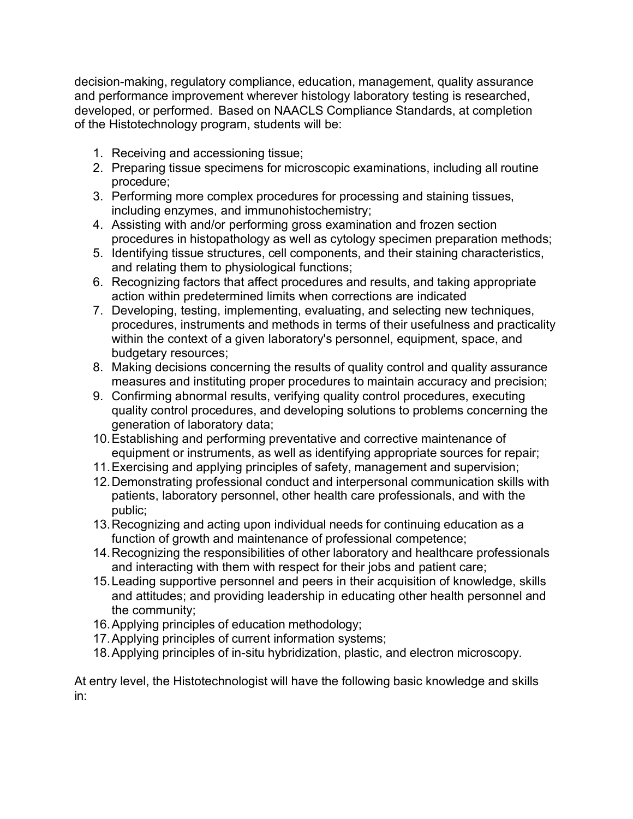decision-making, regulatory compliance, education, management, quality assurance and performance improvement wherever histology laboratory testing is researched, developed, or performed. Based on NAACLS Compliance Standards, at completion of the Histotechnology program, students will be:

- 1. Receiving and accessioning tissue;
- 2. Preparing tissue specimens for microscopic examinations, including all routine procedure;
- 3. Performing more complex procedures for processing and staining tissues, including enzymes, and immunohistochemistry;
- 4. Assisting with and/or performing gross examination and frozen section procedures in histopathology as well as cytology specimen preparation methods;
- 5. Identifying tissue structures, cell components, and their staining characteristics, and relating them to physiological functions;
- 6. Recognizing factors that affect procedures and results, and taking appropriate action within predetermined limits when corrections are indicated
- 7. Developing, testing, implementing, evaluating, and selecting new techniques, procedures, instruments and methods in terms of their usefulness and practicality within the context of a given laboratory's personnel, equipment, space, and budgetary resources;
- 8. Making decisions concerning the results of quality control and quality assurance measures and instituting proper procedures to maintain accuracy and precision;
- 9. Confirming abnormal results, verifying quality control procedures, executing quality control procedures, and developing solutions to problems concerning the generation of laboratory data;
- 10.Establishing and performing preventative and corrective maintenance of equipment or instruments, as well as identifying appropriate sources for repair;
- 11.Exercising and applying principles of safety, management and supervision;
- 12.Demonstrating professional conduct and interpersonal communication skills with patients, laboratory personnel, other health care professionals, and with the public;
- 13.Recognizing and acting upon individual needs for continuing education as a function of growth and maintenance of professional competence;
- 14.Recognizing the responsibilities of other laboratory and healthcare professionals and interacting with them with respect for their jobs and patient care;
- 15.Leading supportive personnel and peers in their acquisition of knowledge, skills and attitudes; and providing leadership in educating other health personnel and the community;
- 16.Applying principles of education methodology;
- 17.Applying principles of current information systems;
- 18.Applying principles of in-situ hybridization, plastic, and electron microscopy.

At entry level, the Histotechnologist will have the following basic knowledge and skills in: